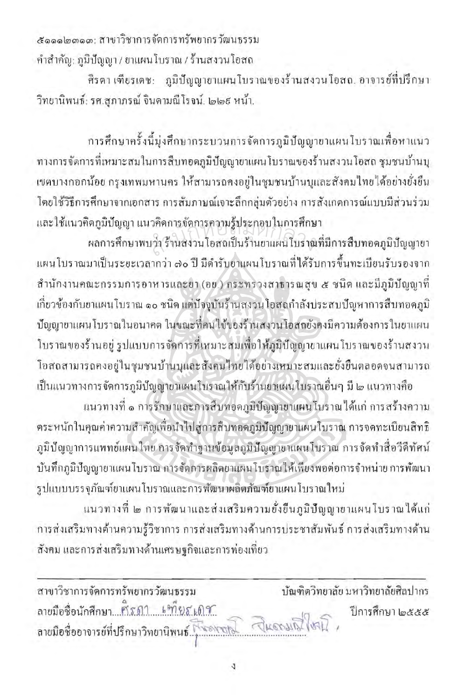๕๑๑๑๒๓๑๓: สาขาวิชาการจัดการทรัพยากรวัฒนธรรม คำสำคัญ: ภูมิปัญญา / ยาแผนโบราณ / ร้านสงวนโอสถ

ศิรคา เฑียรเคช: ภูมิปัญญายาแผนโบราณของร้านสงวนโอสถ. อาจารย์ที่ปรึกษา วิทยานิพนธ์: รศ.สุภาภรณ์ จินดามณีโรจน์. ๒๒៩ หน้า.

การศึกษาครั้งนี้มุ่งศึกษากระบวนการจัดการภูมิปัญญายาแผนโบราณเพื่อหาแนว ทางการจัดการที่เหมาะสมในการสืบทอดภูมิปัญญายาแผนโบราณของร้านสงวนโอสถ ชุมชนบ้านบุ เซตบางกอกน้อย กรุงเทพมหานคร ให้สามารถคงอยู่ในชุมชนบ้านบุและสังคมใทยได้อย่างยั่งยืน โตยใช้วิธีการศึกษาจากเอกสาร การสัมภาษณ์เจาะลึกกลุ่มตัวอย่าง การสังเกตการณ์แบบมีส่วนร่วม และใช้แนวคิดภูมิปัญญา แนวคิดการจัดการความรู้ประกอบในการศึกษา

ผลการศึกษาพบว่า ร้านสงวนโอสถเป็นร้านขาแผนโบราณที่มีการสืบทอดภูมิปัญญายา แผนโบราณมาเป็นระยะเวลากว่า ๗๐ ปี มีดำรับยาแผนโบราณที่ใต้รับการขึ้นทะเบียนรับรองจาก สำนักงานคณะกรรมการอาหารและยา (อย.) กระทรวงสาธารณสุข ๕ ชนิด และมีภูมิปัญญาที่ เกี่ยวข้องกับยาแผนโบราณ ๑๐ ชนิด แต่ปัจจุบันร้านสงวนโอสถกำลังประสบปัญหาการสืบทอดภูมิ ปัญญาขาแผนโบราณในอนาคต ในขณะที่คนใช้ของร้านสงวนโอสถยังคงมีความต้องการในยาแผน โบราณของร้านอยู่ รูปแบบการจัดการที่เหมาะสมเพื่อให้ภูมิปัญญายาแผนโบราณของร้านสงวน โอสถสามารถคงอยู่ในชุมชนบ้านบุและสังคมไทยใด้อย่างเหมาะสมและยั่งยืนตลอดจนสามารถ

เป็นแนวทางการจัดการภูมิปัญญาขนเผนโบราณให้กับร้านยาแผนโบราณอื่นๆ มี ๒ แนวทางคือ แนวทางที่ ๑ การรักษาและการสืบทอดภูมิปัญญาขาแผนโบราณ ได้แก่ การสร้างความ ้ตระหนักในคุณค่าความสำคัญเพื่อนำไปสู่การสืบทอดภูมิปัญญายาแผนโบราณ การจดทะเบียนสิทธิ์ ภูมิปัญญาการแพทย์แผนใทย การจัดทำฐานข้อมูลภูมิปัญญายาแผนโบราณ การจัดทำสื่อวีดีทัศน์ บันทึกภูมิปัญญายาแผนโบราณ การจัดการผลิตยาแผนโบราณให้เพียงพอต่อการจำหน่าย การพัฒนา รูปแบบบรรจุภัณฑ์ขาแผนโบราณและการพัฒนาผลิตภัณฑ์ขาแผนโบราณใหม่

แนวทางที่ ๒ การพัฒนาและส่งเสริมความยั่งยืนภูมิปัญญายาแผนโบราณใต้แก่ การส่งเสริมทางด้านความรู้วิชาการ การส่งเสริมทางด้านการประชาสัมพันธ์ การส่งเสริมทางด้าน สังคม และการส่งเสริมทางด้านเศรษฐกิจและการท่องเที่ยว

สาขาวิชาการจัดการทรัพยากรวัฒนธรรม าโณฑิตวิทยาลัย มหาวิทยาลัยศิลปากร ลายมือชื่อนักศึกษา....คิ้*ร*.ศา... แ<sup>ม</sup>่าึยส.เดา ปีการศึกษา ๒๕๕๕ RKEDUB (VAL) ลายมือซื่ออาจารย์ที่ปรึกษาวิทยานิพนธ์ กันองจาก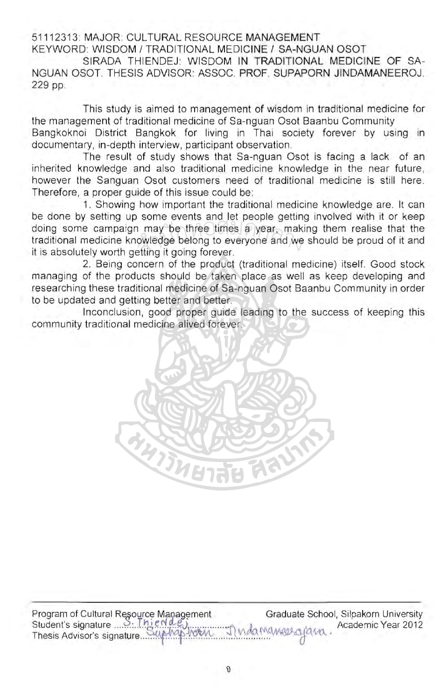## 51112313 MAJOR: CULTURAL RESOURCE MANAGEMENT KEYWORD: WISDOM / TRADITIONAL MEDICINE / SA-NGUAN OSOT

SIRADA THIENDEJ: WISDOM IN TRADITIONAL MEDICINE OF SA-NGUAN OSOT, THESIS ADVISOR: ASSOC. PROF, SUPAPORN JINDAMANEEROJ, 229 pp,

This study is aimed to management of wisdom in traditional medicine for the management of traditional medicine of Sa-nguan Osot Baanbu Community Bangkoknoi District Bangkok for living in Thai society forever by using in documentary, in-depth interview, participant observation,

The result of study shows that Sa-nguan Osot is facing a lack of an inherited knowledge and also traditional medicine knowledge in the near future, however the Sanguan Osot customers need of traditional medicine is still here, Therefore, a proper guide of this issue could be:

1, Showing how important the traditional medicine knowledge are, It can be done by setting up some events and let people getting involved with it or keep doing some campaign may be three times a year, making them realise that the<br>traditional medicine knowledge belong to everyone and we should be proud of it and<br>it is absolutely worth getting it going forever. traditional medicine knowledge belong to everyone and we should be proud of it and it is absolutely worth getting it going forever.

2, Being concern of the product (traditional medicine) itself. Good stock managing of the products should be taken place as well as keep developing and researching these traditional medicine of Sa-nguan Osot Baanbu Community in order to be updated and getting better and better.

Inconclusion, good proper guide leading to the success of keeping this community traditional medicine alived forever,



Program of Cultural R-S0urce Ma ag~ment Graduate School, Silpakorn University Student's signature 3. Injenier, margin 1 mda Manavergiana Thesis Advisor's signature...'